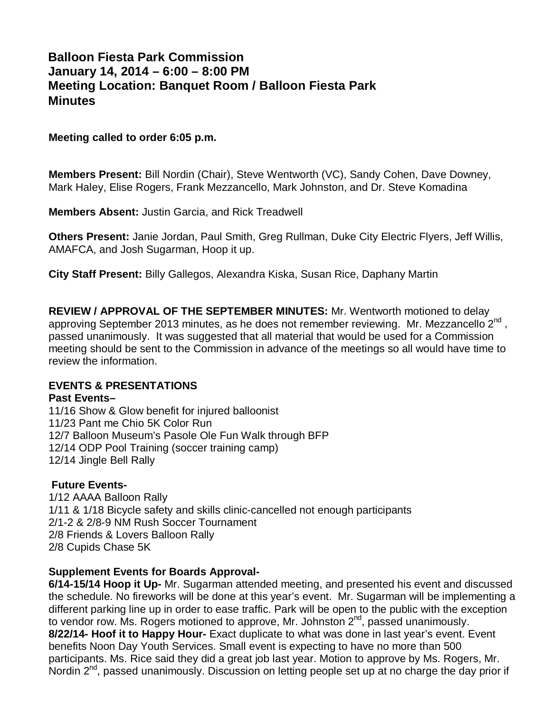# **Balloon Fiesta Park Commission January 14, 2014 – 6:00 – 8:00 PM Meeting Location: Banquet Room / Balloon Fiesta Park Minutes**

#### **Meeting called to order 6:05 p.m.**

**Members Present:** Bill Nordin (Chair), Steve Wentworth (VC), Sandy Cohen, Dave Downey, Mark Haley, Elise Rogers, Frank Mezzancello, Mark Johnston, and Dr. Steve Komadina

**Members Absent:** Justin Garcia, and Rick Treadwell

**Others Present:** Janie Jordan, Paul Smith, Greg Rullman, Duke City Electric Flyers, Jeff Willis, AMAFCA, and Josh Sugarman, Hoop it up.

**City Staff Present:** Billy Gallegos, Alexandra Kiska, Susan Rice, Daphany Martin

**REVIEW / APPROVAL OF THE SEPTEMBER MINUTES:** Mr. Wentworth motioned to delay approving September 2013 minutes, as he does not remember reviewing. Mr. Mezzancello  $2^{nd}$ , passed unanimously. It was suggested that all material that would be used for a Commission meeting should be sent to the Commission in advance of the meetings so all would have time to review the information.

### **EVENTS & PRESENTATIONS**

#### **Past Events–**

11/16 Show & Glow benefit for injured balloonist 11/23 Pant me Chio 5K Color Run 12/7 Balloon Museum's Pasole Ole Fun Walk through BFP 12/14 ODP Pool Training (soccer training camp) 12/14 Jingle Bell Rally

### **Future Events-**

1/12 AAAA Balloon Rally 1/11 & 1/18 Bicycle safety and skills clinic-cancelled not enough participants 2/1-2 & 2/8-9 NM Rush Soccer Tournament 2/8 Friends & Lovers Balloon Rally 2/8 Cupids Chase 5K

### **Supplement Events for Boards Approval-**

**6/14-15/14 Hoop it Up-** Mr. Sugarman attended meeting, and presented his event and discussed the schedule. No fireworks will be done at this year's event. Mr. Sugarman will be implementing a different parking line up in order to ease traffic. Park will be open to the public with the exception to vendor row. Ms. Rogers motioned to approve, Mr. Johnston 2<sup>nd</sup>, passed unanimously. **8/22/14- Hoof it to Happy Hour-** Exact duplicate to what was done in last year's event. Event benefits Noon Day Youth Services. Small event is expecting to have no more than 500 participants. Ms. Rice said they did a great job last year. Motion to approve by Ms. Rogers, Mr. Nordin  $2^{nd}$ , passed unanimously. Discussion on letting people set up at no charge the day prior if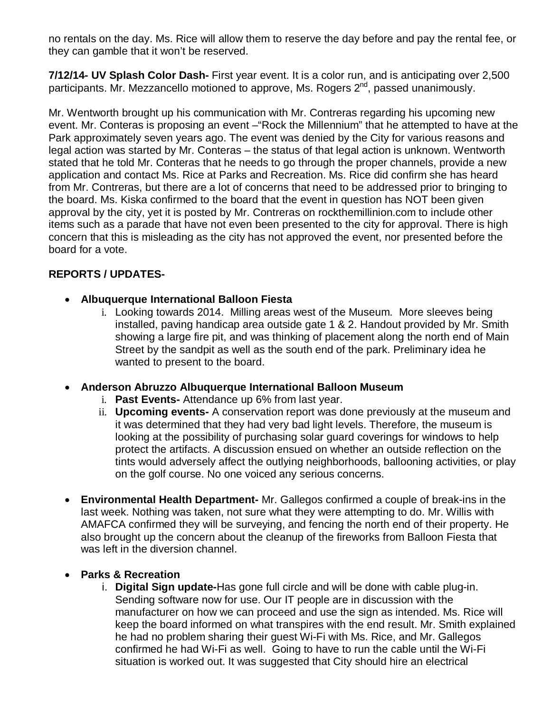no rentals on the day. Ms. Rice will allow them to reserve the day before and pay the rental fee, or they can gamble that it won't be reserved.

**7/12/14- UV Splash Color Dash-** First year event. It is a color run, and is anticipating over 2,500 participants. Mr. Mezzancello motioned to approve, Ms. Rogers 2<sup>nd</sup>, passed unanimously.

Mr. Wentworth brought up his communication with Mr. Contreras regarding his upcoming new event. Mr. Conteras is proposing an event –"Rock the Millennium" that he attempted to have at the Park approximately seven years ago. The event was denied by the City for various reasons and legal action was started by Mr. Conteras – the status of that legal action is unknown. Wentworth stated that he told Mr. Conteras that he needs to go through the proper channels, provide a new application and contact Ms. Rice at Parks and Recreation. Ms. Rice did confirm she has heard from Mr. Contreras, but there are a lot of concerns that need to be addressed prior to bringing to the board. Ms. Kiska confirmed to the board that the event in question has NOT been given approval by the city, yet it is posted by Mr. Contreras on rockthemillinion.com to include other items such as a parade that have not even been presented to the city for approval. There is high concern that this is misleading as the city has not approved the event, nor presented before the board for a vote.

## **REPORTS / UPDATES-**

- **Albuquerque International Balloon Fiesta**
	- i. Looking towards 2014. Milling areas west of the Museum. More sleeves being installed, paving handicap area outside gate 1 & 2. Handout provided by Mr. Smith showing a large fire pit, and was thinking of placement along the north end of Main Street by the sandpit as well as the south end of the park. Preliminary idea he wanted to present to the board.
- **Anderson Abruzzo Albuquerque International Balloon Museum**
	- i. **Past Events-** Attendance up 6% from last year.
	- ii. **Upcoming events-** A conservation report was done previously at the museum and it was determined that they had very bad light levels. Therefore, the museum is looking at the possibility of purchasing solar guard coverings for windows to help protect the artifacts. A discussion ensued on whether an outside reflection on the tints would adversely affect the outlying neighborhoods, ballooning activities, or play on the golf course. No one voiced any serious concerns.
- **Environmental Health Department-** Mr. Gallegos confirmed a couple of break-ins in the last week. Nothing was taken, not sure what they were attempting to do. Mr. Willis with AMAFCA confirmed they will be surveying, and fencing the north end of their property. He also brought up the concern about the cleanup of the fireworks from Balloon Fiesta that was left in the diversion channel.
- **Parks & Recreation**
	- i. **Digital Sign update-**Has gone full circle and will be done with cable plug-in. Sending software now for use. Our IT people are in discussion with the manufacturer on how we can proceed and use the sign as intended. Ms. Rice will keep the board informed on what transpires with the end result. Mr. Smith explained he had no problem sharing their guest Wi-Fi with Ms. Rice, and Mr. Gallegos confirmed he had Wi-Fi as well. Going to have to run the cable until the Wi-Fi situation is worked out. It was suggested that City should hire an electrical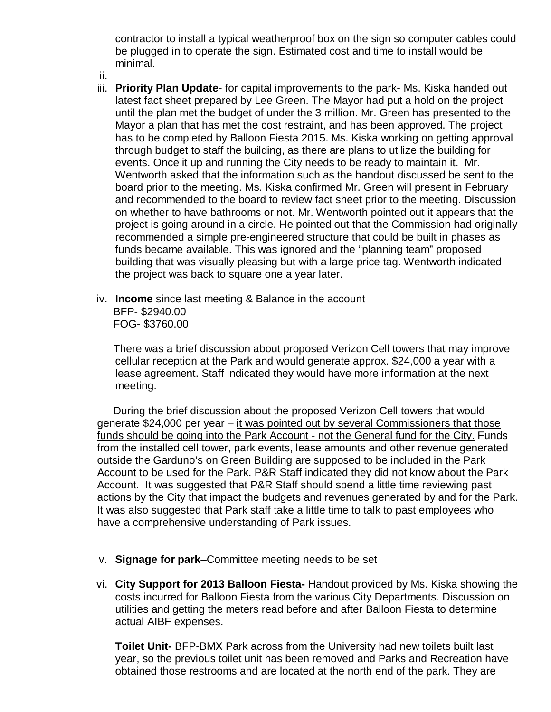contractor to install a typical weatherproof box on the sign so computer cables could be plugged in to operate the sign. Estimated cost and time to install would be minimal.

- ii.
- iii. **Priority Plan Update** for capital improvements to the park- Ms. Kiska handed out latest fact sheet prepared by Lee Green. The Mayor had put a hold on the project until the plan met the budget of under the 3 million. Mr. Green has presented to the Mayor a plan that has met the cost restraint, and has been approved. The project has to be completed by Balloon Fiesta 2015. Ms. Kiska working on getting approval through budget to staff the building, as there are plans to utilize the building for events. Once it up and running the City needs to be ready to maintain it. Mr. Wentworth asked that the information such as the handout discussed be sent to the board prior to the meeting. Ms. Kiska confirmed Mr. Green will present in February and recommended to the board to review fact sheet prior to the meeting. Discussion on whether to have bathrooms or not. Mr. Wentworth pointed out it appears that the project is going around in a circle. He pointed out that the Commission had originally recommended a simple pre-engineered structure that could be built in phases as funds became available. This was ignored and the "planning team" proposed building that was visually pleasing but with a large price tag. Wentworth indicated the project was back to square one a year later.
- iv. **Income** since last meeting & Balance in the account BFP- \$2940.00 FOG- \$3760.00

There was a brief discussion about proposed Verizon Cell towers that may improve cellular reception at the Park and would generate approx. \$24,000 a year with a lease agreement. Staff indicated they would have more information at the next meeting.

During the brief discussion about the proposed Verizon Cell towers that would generate \$24,000 per year – it was pointed out by several Commissioners that those funds should be going into the Park Account - not the General fund for the City. Funds from the installed cell tower, park events, lease amounts and other revenue generated outside the Garduno's on Green Building are supposed to be included in the Park Account to be used for the Park. P&R Staff indicated they did not know about the Park Account. It was suggested that P&R Staff should spend a little time reviewing past actions by the City that impact the budgets and revenues generated by and for the Park. It was also suggested that Park staff take a little time to talk to past employees who have a comprehensive understanding of Park issues.

- v. **Signage for park**–Committee meeting needs to be set
- vi. **City Support for 2013 Balloon Fiesta-** Handout provided by Ms. Kiska showing the costs incurred for Balloon Fiesta from the various City Departments. Discussion on utilities and getting the meters read before and after Balloon Fiesta to determine actual AIBF expenses.

**Toilet Unit-** BFP-BMX Park across from the University had new toilets built last year, so the previous toilet unit has been removed and Parks and Recreation have obtained those restrooms and are located at the north end of the park. They are